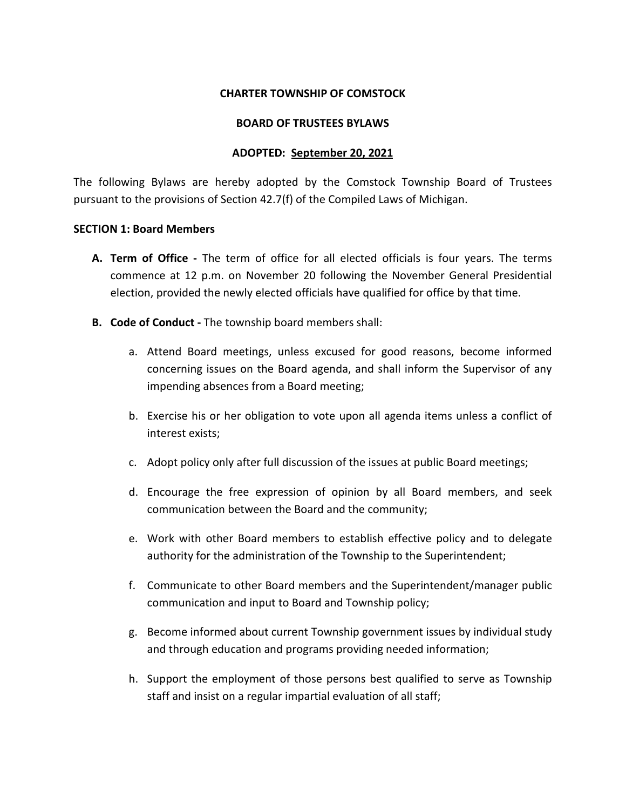#### **CHARTER TOWNSHIP OF COMSTOCK**

#### **BOARD OF TRUSTEES BYLAWS**

## **ADOPTED: September 20, 2021**

The following Bylaws are hereby adopted by the Comstock Township Board of Trustees pursuant to the provisions of Section 42.7(f) of the Compiled Laws of Michigan.

#### **SECTION 1: Board Members**

- **A. Term of Office -** The term of office for all elected officials is four years. The terms commence at 12 p.m. on November 20 following the November General Presidential election, provided the newly elected officials have qualified for office by that time.
- **B. Code of Conduct -** The township board members shall:
	- a. Attend Board meetings, unless excused for good reasons, become informed concerning issues on the Board agenda, and shall inform the Supervisor of any impending absences from a Board meeting;
	- b. Exercise his or her obligation to vote upon all agenda items unless a conflict of interest exists;
	- c. Adopt policy only after full discussion of the issues at public Board meetings;
	- d. Encourage the free expression of opinion by all Board members, and seek communication between the Board and the community;
	- e. Work with other Board members to establish effective policy and to delegate authority for the administration of the Township to the Superintendent;
	- f. Communicate to other Board members and the Superintendent/manager public communication and input to Board and Township policy;
	- g. Become informed about current Township government issues by individual study and through education and programs providing needed information;
	- h. Support the employment of those persons best qualified to serve as Township staff and insist on a regular impartial evaluation of all staff;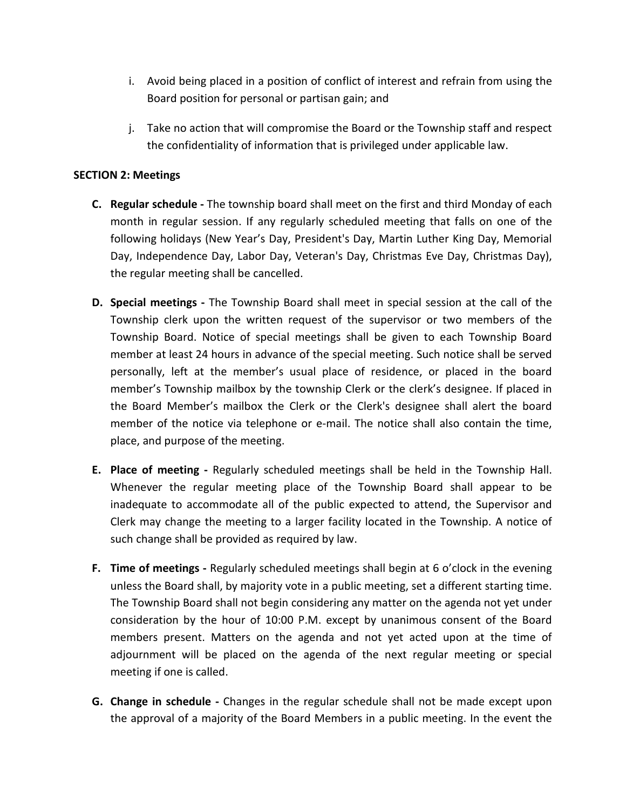- i. Avoid being placed in a position of conflict of interest and refrain from using the Board position for personal or partisan gain; and
- j. Take no action that will compromise the Board or the Township staff and respect the confidentiality of information that is privileged under applicable law.

## **SECTION 2: Meetings**

- **C. Regular schedule -** The township board shall meet on the first and third Monday of each month in regular session. If any regularly scheduled meeting that falls on one of the following holidays (New Year's Day, President's Day, Martin Luther King Day, Memorial Day, Independence Day, Labor Day, Veteran's Day, Christmas Eve Day, Christmas Day), the regular meeting shall be cancelled.
- **D. Special meetings -** The Township Board shall meet in special session at the call of the Township clerk upon the written request of the supervisor or two members of the Township Board. Notice of special meetings shall be given to each Township Board member at least 24 hours in advance of the special meeting. Such notice shall be served personally, left at the member's usual place of residence, or placed in the board member's Township mailbox by the township Clerk or the clerk's designee. If placed in the Board Member's mailbox the Clerk or the Clerk's designee shall alert the board member of the notice via telephone or e-mail. The notice shall also contain the time, place, and purpose of the meeting.
- **E. Place of meeting -** Regularly scheduled meetings shall be held in the Township Hall. Whenever the regular meeting place of the Township Board shall appear to be inadequate to accommodate all of the public expected to attend, the Supervisor and Clerk may change the meeting to a larger facility located in the Township. A notice of such change shall be provided as required by law.
- **F. Time of meetings -** Regularly scheduled meetings shall begin at 6 o'clock in the evening unless the Board shall, by majority vote in a public meeting, set a different starting time. The Township Board shall not begin considering any matter on the agenda not yet under consideration by the hour of 10:00 P.M. except by unanimous consent of the Board members present. Matters on the agenda and not yet acted upon at the time of adjournment will be placed on the agenda of the next regular meeting or special meeting if one is called.
- **G. Change in schedule -** Changes in the regular schedule shall not be made except upon the approval of a majority of the Board Members in a public meeting. In the event the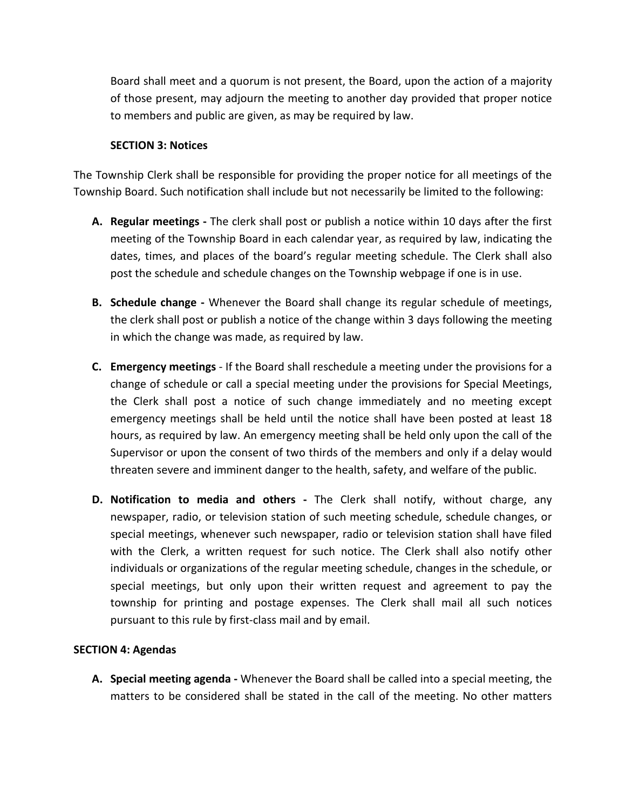Board shall meet and a quorum is not present, the Board, upon the action of a majority of those present, may adjourn the meeting to another day provided that proper notice to members and public are given, as may be required by law.

# **SECTION 3: Notices**

The Township Clerk shall be responsible for providing the proper notice for all meetings of the Township Board. Such notification shall include but not necessarily be limited to the following:

- **A. Regular meetings -** The clerk shall post or publish a notice within 10 days after the first meeting of the Township Board in each calendar year, as required by law, indicating the dates, times, and places of the board's regular meeting schedule. The Clerk shall also post the schedule and schedule changes on the Township webpage if one is in use.
- **B. Schedule change -** Whenever the Board shall change its regular schedule of meetings, the clerk shall post or publish a notice of the change within 3 days following the meeting in which the change was made, as required by law.
- **C. Emergency meetings** If the Board shall reschedule a meeting under the provisions for a change of schedule or call a special meeting under the provisions for Special Meetings, the Clerk shall post a notice of such change immediately and no meeting except emergency meetings shall be held until the notice shall have been posted at least 18 hours, as required by law. An emergency meeting shall be held only upon the call of the Supervisor or upon the consent of two thirds of the members and only if a delay would threaten severe and imminent danger to the health, safety, and welfare of the public.
- **D. Notification to media and others -** The Clerk shall notify, without charge, any newspaper, radio, or television station of such meeting schedule, schedule changes, or special meetings, whenever such newspaper, radio or television station shall have filed with the Clerk, a written request for such notice. The Clerk shall also notify other individuals or organizations of the regular meeting schedule, changes in the schedule, or special meetings, but only upon their written request and agreement to pay the township for printing and postage expenses. The Clerk shall mail all such notices pursuant to this rule by first-class mail and by email.

# **SECTION 4: Agendas**

**A. Special meeting agenda -** Whenever the Board shall be called into a special meeting, the matters to be considered shall be stated in the call of the meeting. No other matters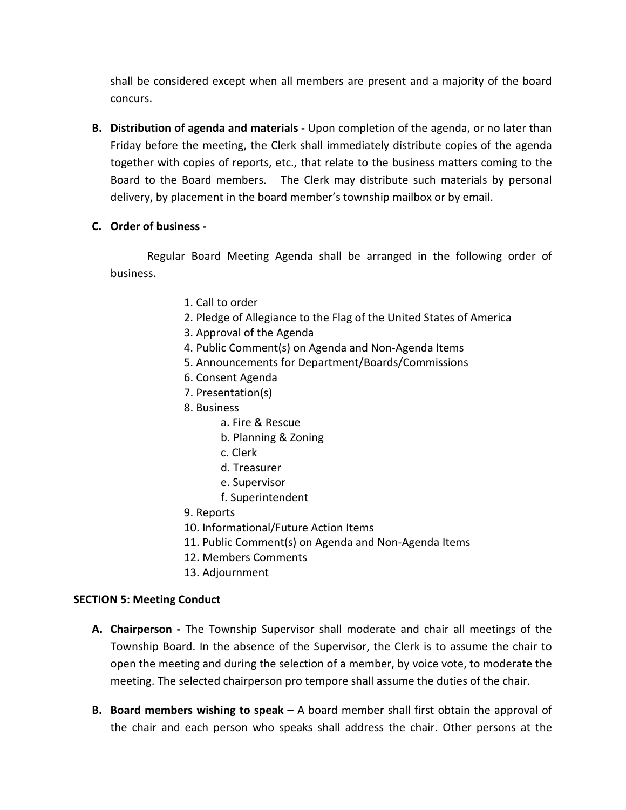shall be considered except when all members are present and a majority of the board concurs.

**B. Distribution of agenda and materials -** Upon completion of the agenda, or no later than Friday before the meeting, the Clerk shall immediately distribute copies of the agenda together with copies of reports, etc., that relate to the business matters coming to the Board to the Board members. The Clerk may distribute such materials by personal delivery, by placement in the board member's township mailbox or by email.

# **C. Order of business -**

Regular Board Meeting Agenda shall be arranged in the following order of business.

- 1. Call to order
- 2. Pledge of Allegiance to the Flag of the United States of America
- 3. Approval of the Agenda
- 4. Public Comment(s) on Agenda and Non-Agenda Items
- 5. Announcements for Department/Boards/Commissions
- 6. Consent Agenda
- 7. Presentation(s)
- 8. Business
	- a. Fire & Rescue
	- b. Planning & Zoning
	- c. Clerk
	- d. Treasurer
	- e. Supervisor
	- f. Superintendent
- 9. Reports
- 10. Informational/Future Action Items
- 11. Public Comment(s) on Agenda and Non-Agenda Items
- 12. Members Comments
- 13. Adjournment

## **SECTION 5: Meeting Conduct**

- **A. Chairperson -** The Township Supervisor shall moderate and chair all meetings of the Township Board. In the absence of the Supervisor, the Clerk is to assume the chair to open the meeting and during the selection of a member, by voice vote, to moderate the meeting. The selected chairperson pro tempore shall assume the duties of the chair.
- **B. Board members wishing to speak –** A board member shall first obtain the approval of the chair and each person who speaks shall address the chair. Other persons at the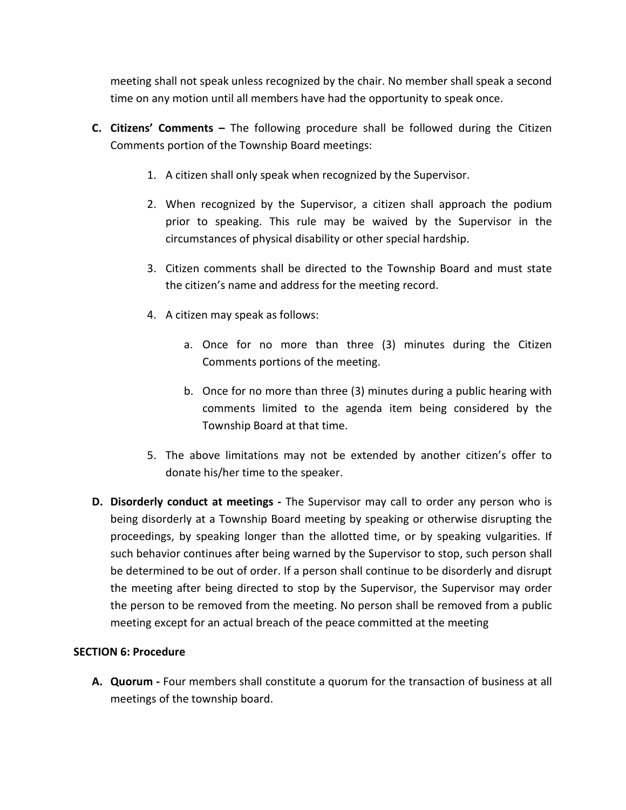meeting shall not speak unless recognized by the chair. No member shall speak a second time on any motion until all members have had the opportunity to speak once.

- **C. Citizens' Comments –** The following procedure shall be followed during the Citizen Comments portion of the Township Board meetings:
	- 1. A citizen shall only speak when recognized by the Supervisor.
	- 2. When recognized by the Supervisor, a citizen shall approach the podium prior to speaking. This rule may be waived by the Supervisor in the circumstances of physical disability or other special hardship.
	- 3. Citizen comments shall be directed to the Township Board and must state the citizen's name and address for the meeting record.
	- 4. A citizen may speak as follows:
		- a. Once for no more than three (3) minutes during the Citizen Comments portions of the meeting.
		- b. Once for no more than three (3) minutes during a public hearing with comments limited to the agenda item being considered by the Township Board at that time.
	- 5. The above limitations may not be extended by another citizen's offer to donate his/her time to the speaker.
- **D. Disorderly conduct at meetings -** The Supervisor may call to order any person who is being disorderly at a Township Board meeting by speaking or otherwise disrupting the proceedings, by speaking longer than the allotted time, or by speaking vulgarities. If such behavior continues after being warned by the Supervisor to stop, such person shall be determined to be out of order. If a person shall continue to be disorderly and disrupt the meeting after being directed to stop by the Supervisor, the Supervisor may order the person to be removed from the meeting. No person shall be removed from a public meeting except for an actual breach of the peace committed at the meeting

# **SECTION 6: Procedure**

**A. Quorum -** Four members shall constitute a quorum for the transaction of business at all meetings of the township board.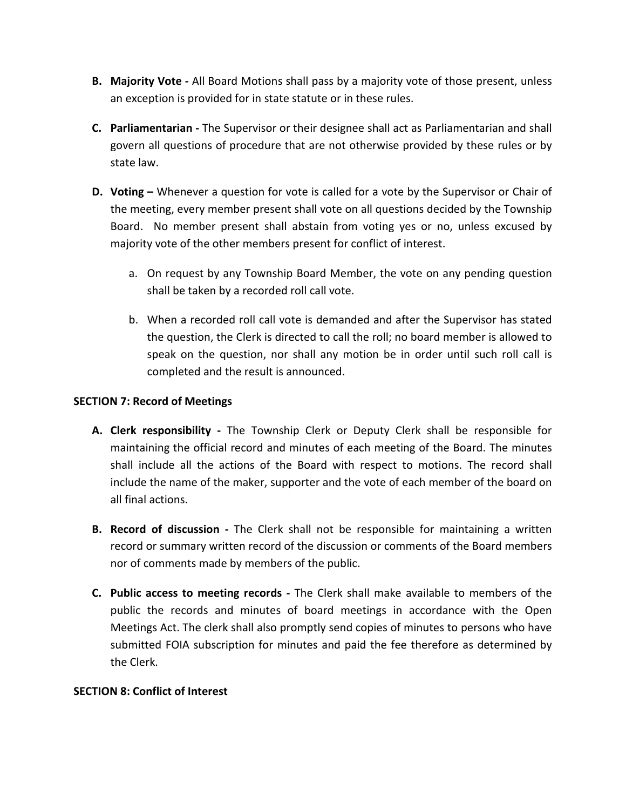- **B. Majority Vote -** All Board Motions shall pass by a majority vote of those present, unless an exception is provided for in state statute or in these rules.
- **C. Parliamentarian -** The Supervisor or their designee shall act as Parliamentarian and shall govern all questions of procedure that are not otherwise provided by these rules or by state law.
- **D. Voting –** Whenever a question for vote is called for a vote by the Supervisor or Chair of the meeting, every member present shall vote on all questions decided by the Township Board. No member present shall abstain from voting yes or no, unless excused by majority vote of the other members present for conflict of interest.
	- a. On request by any Township Board Member, the vote on any pending question shall be taken by a recorded roll call vote.
	- b. When a recorded roll call vote is demanded and after the Supervisor has stated the question, the Clerk is directed to call the roll; no board member is allowed to speak on the question, nor shall any motion be in order until such roll call is completed and the result is announced.

# **SECTION 7: Record of Meetings**

- **A. Clerk responsibility -** The Township Clerk or Deputy Clerk shall be responsible for maintaining the official record and minutes of each meeting of the Board. The minutes shall include all the actions of the Board with respect to motions. The record shall include the name of the maker, supporter and the vote of each member of the board on all final actions.
- **B. Record of discussion -** The Clerk shall not be responsible for maintaining a written record or summary written record of the discussion or comments of the Board members nor of comments made by members of the public.
- **C. Public access to meeting records -** The Clerk shall make available to members of the public the records and minutes of board meetings in accordance with the Open Meetings Act. The clerk shall also promptly send copies of minutes to persons who have submitted FOIA subscription for minutes and paid the fee therefore as determined by the Clerk.

## **SECTION 8: Conflict of Interest**